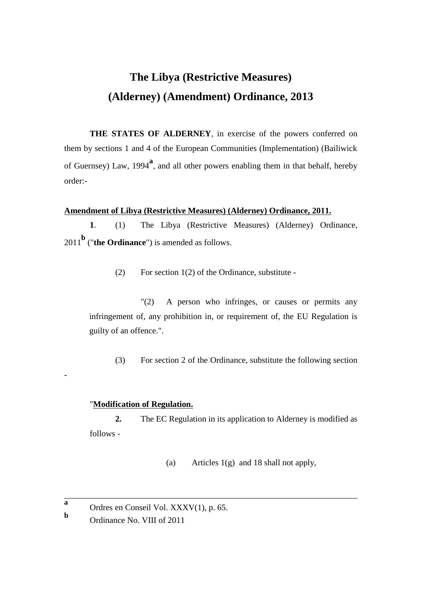# **The Libya (Restrictive Measures) (Alderney) (Amendment) Ordinance, 2013**

**THE STATES OF ALDERNEY**, in exercise of the powers conferred on them by sections 1 and 4 of the European Communities (Implementation) (Bailiwick of Guernsey) Law, 1994**<sup>a</sup>** , and all other powers enabling them in that behalf, hereby order:-

## **Amendment of Libya (Restrictive Measures) (Alderney) Ordinance, 2011.**

**1**. (1) The Libya (Restrictive Measures) (Alderney) Ordinance, <sup>2011</sup>**<sup>b</sup>** ("**the Ordinance**") is amended as follows.

(2) For section 1(2) of the Ordinance, substitute -

"(2) A person who infringes, or causes or permits any infringement of, any prohibition in, or requirement of, the EU Regulation is guilty of an offence.".

(3) For section 2 of the Ordinance, substitute the following section

### "**Modification of Regulation.**

**2.** The EC Regulation in its application to Alderney is modified as follows -

\_\_\_\_\_\_\_\_\_\_\_\_\_\_\_\_\_\_\_\_\_\_\_\_\_\_\_\_\_\_\_\_\_\_\_\_\_\_\_\_\_\_\_\_\_\_\_\_\_\_\_\_\_\_\_\_\_\_\_\_\_\_\_\_\_\_\_\_\_

(a) Articles  $1(g)$  and 18 shall not apply,

**b**

-

**a** Ordres en Conseil Vol. XXXV(1), p. 65.

Ordinance No. VIII of 2011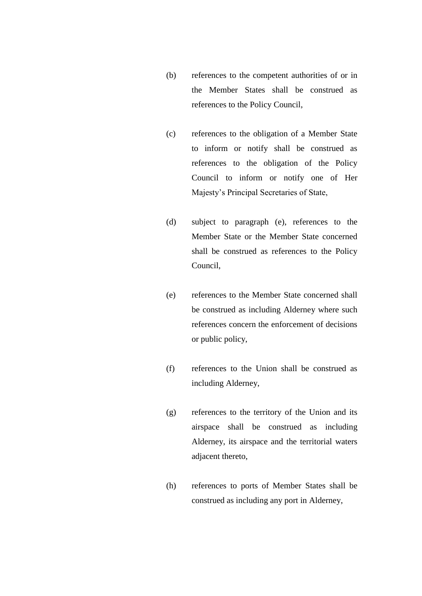- (b) references to the competent authorities of or in the Member States shall be construed as references to the Policy Council,
- (c) references to the obligation of a Member State to inform or notify shall be construed as references to the obligation of the Policy Council to inform or notify one of Her Majesty's Principal Secretaries of State,
- (d) subject to paragraph (e), references to the Member State or the Member State concerned shall be construed as references to the Policy Council,
- (e) references to the Member State concerned shall be construed as including Alderney where such references concern the enforcement of decisions or public policy,
- (f) references to the Union shall be construed as including Alderney,
- (g) references to the territory of the Union and its airspace shall be construed as including Alderney, its airspace and the territorial waters adjacent thereto,
- (h) references to ports of Member States shall be construed as including any port in Alderney,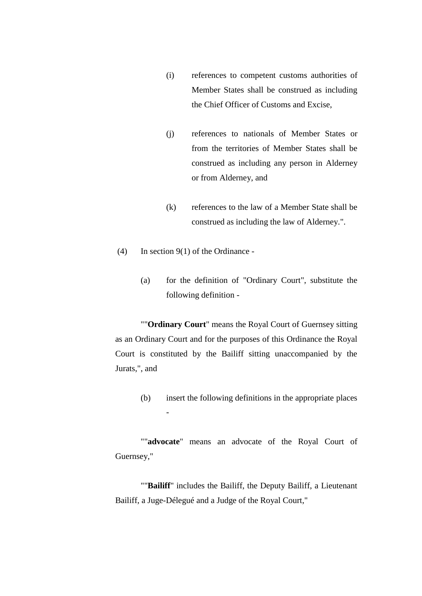- (i) references to competent customs authorities of Member States shall be construed as including the Chief Officer of Customs and Excise,
- (j) references to nationals of Member States or from the territories of Member States shall be construed as including any person in Alderney or from Alderney, and
- (k) references to the law of a Member State shall be construed as including the law of Alderney.".
- (4) In section 9(1) of the Ordinance -

-

(a) for the definition of "Ordinary Court", substitute the following definition -

""**Ordinary Court**" means the Royal Court of Guernsey sitting as an Ordinary Court and for the purposes of this Ordinance the Royal Court is constituted by the Bailiff sitting unaccompanied by the Jurats,", and

(b) insert the following definitions in the appropriate places

""**advocate**" means an advocate of the Royal Court of Guernsey,"

""**Bailiff**" includes the Bailiff, the Deputy Bailiff, a Lieutenant Bailiff, a Juge-Délegué and a Judge of the Royal Court,"